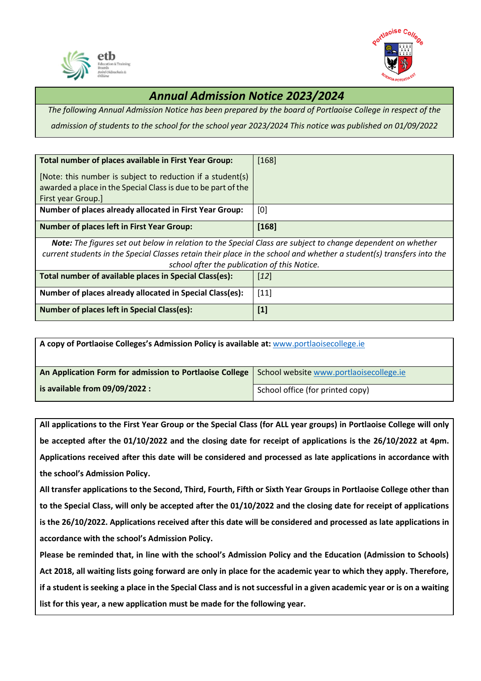



## *Annual Admission Notice 2023/2024*

*The following Annual Admission Notice has been prepared by the board of Portlaoise College in respect of the* 

*admission of students to the school for the school year 2023/2024 This notice was published on 01/09/2022*

| Total number of places available in First Year Group:                                                                                                                                                                                                                                      | $[168]$           |  |
|--------------------------------------------------------------------------------------------------------------------------------------------------------------------------------------------------------------------------------------------------------------------------------------------|-------------------|--|
| [Note: this number is subject to reduction if a student(s)<br>awarded a place in the Special Class is due to be part of the                                                                                                                                                                |                   |  |
| First year Group.]                                                                                                                                                                                                                                                                         |                   |  |
| <b>Number of places already allocated in First Year Group:</b>                                                                                                                                                                                                                             | [0]               |  |
| <b>Number of places left in First Year Group:</b>                                                                                                                                                                                                                                          | [168]             |  |
| <b>Note:</b> The figures set out below in relation to the Special Class are subject to change dependent on whether<br>current students in the Special Classes retain their place in the school and whether a student(s) transfers into the<br>school after the publication of this Notice. |                   |  |
| Total number of available places in Special Class(es):                                                                                                                                                                                                                                     | $\left[12\right]$ |  |
| Number of places already allocated in Special Class(es):                                                                                                                                                                                                                                   | $[11]$            |  |
| <b>Number of places left in Special Class(es):</b>                                                                                                                                                                                                                                         | $[1]$             |  |

| A copy of Portlaoise Colleges's Admission Policy is available at: www.portlaoisecollege.ie |                                         |
|--------------------------------------------------------------------------------------------|-----------------------------------------|
| An Application Form for admission to Portlaoise College                                    | School website www.portlaoisecollege.ie |
| $\vert$ is available from 09/09/2022 :                                                     | School office (for printed copy)        |

**All applications to the First Year Group or the Special Class (for ALL year groups) in Portlaoise College will only be accepted after the 01/10/2022 and the closing date for receipt of applications is the 26/10/2022 at 4pm. Applications received after this date will be considered and processed as late applications in accordance with the school's Admission Policy.**

**All transfer applications to the Second, Third, Fourth, Fifth or Sixth Year Groups in Portlaoise College other than to the Special Class, will only be accepted after the 01/10/2022 and the closing date for receipt of applications is the 26/10/2022. Applications received after this date will be considered and processed as late applications in accordance with the school's Admission Policy.**

**Please be reminded that, in line with the school's Admission Policy and the Education (Admission to Schools) Act 2018, all waiting lists going forward are only in place for the academic year to which they apply. Therefore, if a student is seeking a place in the Special Class and is not successful in a given academic year or is on a waiting list for this year, a new application must be made for the following year.**